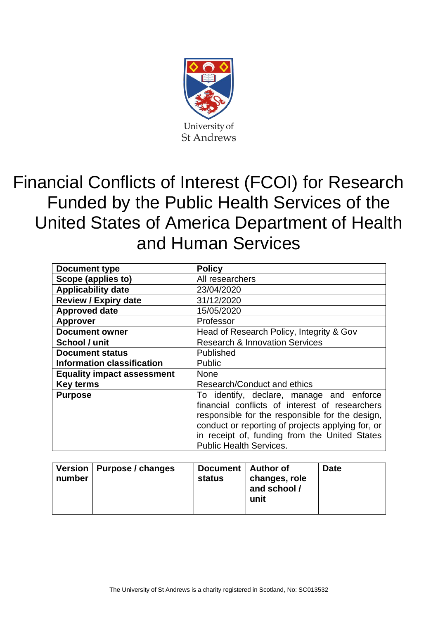

# Financial Conflicts of Interest (FCOI) for Research Funded by the Public Health Services of the United States of America Department of Health and Human Services

| <b>Document type</b>              | <b>Policy</b>                                                                                                                                                                                                                                                                         |  |  |
|-----------------------------------|---------------------------------------------------------------------------------------------------------------------------------------------------------------------------------------------------------------------------------------------------------------------------------------|--|--|
| Scope (applies to)                | All researchers                                                                                                                                                                                                                                                                       |  |  |
| <b>Applicability date</b>         | 23/04/2020                                                                                                                                                                                                                                                                            |  |  |
| <b>Review / Expiry date</b>       | 31/12/2020                                                                                                                                                                                                                                                                            |  |  |
| <b>Approved date</b>              | 15/05/2020                                                                                                                                                                                                                                                                            |  |  |
| <b>Approver</b>                   | Professor                                                                                                                                                                                                                                                                             |  |  |
| <b>Document owner</b>             | Head of Research Policy, Integrity & Gov                                                                                                                                                                                                                                              |  |  |
| School / unit                     | <b>Research &amp; Innovation Services</b>                                                                                                                                                                                                                                             |  |  |
| <b>Document status</b>            | Published                                                                                                                                                                                                                                                                             |  |  |
| <b>Information classification</b> | <b>Public</b>                                                                                                                                                                                                                                                                         |  |  |
| <b>Equality impact assessment</b> | <b>None</b>                                                                                                                                                                                                                                                                           |  |  |
| <b>Key terms</b>                  | Research/Conduct and ethics                                                                                                                                                                                                                                                           |  |  |
| <b>Purpose</b>                    | To identify, declare, manage and enforce<br>financial conflicts of interest of researchers<br>responsible for the responsible for the design,<br>conduct or reporting of projects applying for, or<br>in receipt of, funding from the United States<br><b>Public Health Services.</b> |  |  |

| number | Version   Purpose / changes | Document   Author of<br>status | changes, role<br>and school /<br>unit | <b>Date</b> |
|--------|-----------------------------|--------------------------------|---------------------------------------|-------------|
|        |                             |                                |                                       |             |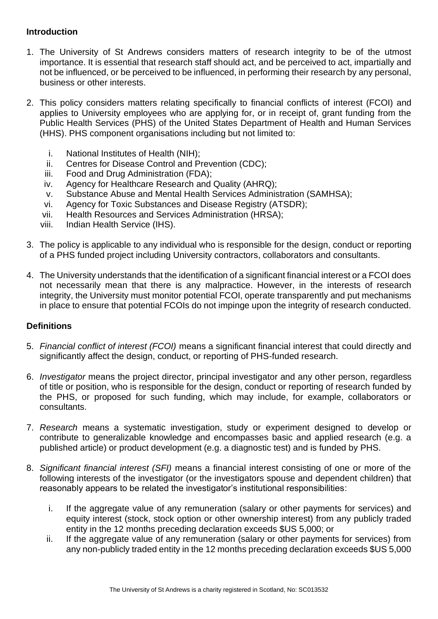### **Introduction**

- 1. The University of St Andrews considers matters of research integrity to be of the utmost importance. It is essential that research staff should act, and be perceived to act, impartially and not be influenced, or be perceived to be influenced, in performing their research by any personal, business or other interests.
- 2. This policy considers matters relating specifically to financial conflicts of interest (FCOI) and applies to University employees who are applying for, or in receipt of, grant funding from the Public Health Services (PHS) of the United States Department of Health and Human Services (HHS). PHS component organisations including but not limited to:
	- i. National Institutes of Health (NIH);
	- ii. Centres for Disease Control and Prevention (CDC);
	- iii. Food and Drug Administration (FDA);
	- iv. Agency for Healthcare Research and Quality (AHRQ);
	- v. Substance Abuse and Mental Health Services Administration (SAMHSA);
	- vi. Agency for Toxic Substances and Disease Registry (ATSDR);
	- vii. Health Resources and Services Administration (HRSA);
	- viii. Indian Health Service (IHS).
- 3. The policy is applicable to any individual who is responsible for the design, conduct or reporting of a PHS funded project including University contractors, collaborators and consultants.
- 4. The University understands that the identification of a significant financial interest or a FCOI does not necessarily mean that there is any malpractice. However, in the interests of research integrity, the University must monitor potential FCOI, operate transparently and put mechanisms in place to ensure that potential FCOIs do not impinge upon the integrity of research conducted.

#### **Definitions**

- 5. *Financial conflict of interest (FCOI)* means a significant financial interest that could directly and significantly affect the design, conduct, or reporting of PHS-funded research.
- 6. *Investigator* means the project director, principal investigator and any other person, regardless of title or position, who is responsible for the design, conduct or reporting of research funded by the PHS, or proposed for such funding, which may include, for example, collaborators or consultants.
- 7. *Research* means a systematic investigation, study or experiment designed to develop or contribute to generalizable knowledge and encompasses basic and applied research (e.g. a published article) or product development (e.g. a diagnostic test) and is funded by PHS.
- 8. *Significant financial interest (SFI)* means a financial interest consisting of one or more of the following interests of the investigator (or the investigators spouse and dependent children) that reasonably appears to be related the investigator's institutional responsibilities:
	- i. If the aggregate value of any remuneration (salary or other payments for services) and equity interest (stock, stock option or other ownership interest) from any publicly traded entity in the 12 months preceding declaration exceeds \$US 5,000; or
	- ii. If the aggregate value of any remuneration (salary or other payments for services) from any non-publicly traded entity in the 12 months preceding declaration exceeds \$US 5,000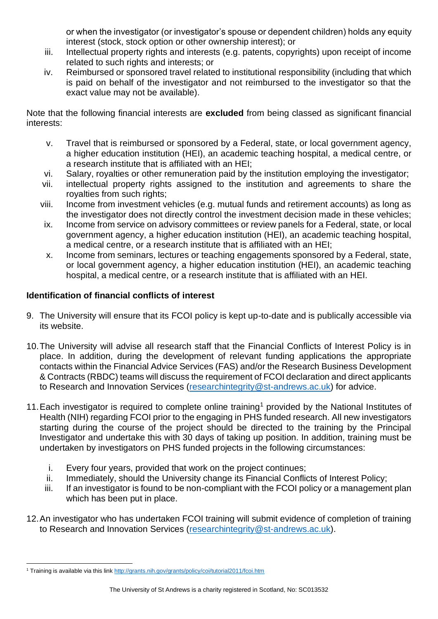or when the investigator (or investigator's spouse or dependent children) holds any equity interest (stock, stock option or other ownership interest); or

- iii. Intellectual property rights and interests (e.g. patents, copyrights) upon receipt of income related to such rights and interests; or
- iv. Reimbursed or sponsored travel related to institutional responsibility (including that which is paid on behalf of the investigator and not reimbursed to the investigator so that the exact value may not be available).

Note that the following financial interests are **excluded** from being classed as significant financial interests:

- v. Travel that is reimbursed or sponsored by a Federal, state, or local government agency, a higher education institution (HEI), an academic teaching hospital, a medical centre, or a research institute that is affiliated with an HEI;
- vi. Salary, royalties or other remuneration paid by the institution employing the investigator;
- vii. intellectual property rights assigned to the institution and agreements to share the royalties from such rights;
- viii. Income from investment vehicles (e.g. mutual funds and retirement accounts) as long as the investigator does not directly control the investment decision made in these vehicles;
- ix. Income from service on advisory committees or review panels for a Federal, state, or local government agency, a higher education institution (HEI), an academic teaching hospital, a medical centre, or a research institute that is affiliated with an HEI;
- x. Income from seminars, lectures or teaching engagements sponsored by a Federal, state, or local government agency, a higher education institution (HEI), an academic teaching hospital, a medical centre, or a research institute that is affiliated with an HEI.

# **Identification of financial conflicts of interest**

- 9. The University will ensure that its FCOI policy is kept up-to-date and is publically accessible via its website.
- 10.The University will advise all research staff that the Financial Conflicts of Interest Policy is in place. In addition, during the development of relevant funding applications the appropriate contacts within the Financial Advice Services (FAS) and/or the Research Business Development & Contracts (RBDC) teams will discuss the requirement of FCOI declaration and direct applicants to Research and Innovation Services [\(researchintegrity@st-andrews.ac.uk\)](mailto:researchintegrity@st-andrews.ac.uk) for advice.
- 11. Each investigator is required to complete online training<sup>1</sup> provided by the National Institutes of Health (NIH) regarding FCOI prior to the engaging in PHS funded research. All new investigators starting during the course of the project should be directed to the training by the Principal Investigator and undertake this with 30 days of taking up position. In addition, training must be undertaken by investigators on PHS funded projects in the following circumstances:
	- i. Every four years, provided that work on the project continues;
	- ii. Immediately, should the University change its Financial Conflicts of Interest Policy;
	- iii. If an investigator is found to be non-compliant with the FCOI policy or a management plan which has been put in place.
- 12.An investigator who has undertaken FCOI training will submit evidence of completion of training to Research and Innovation Services [\(researchintegrity@st-andrews.ac.uk\)](mailto:researchintegrity@st-andrews.ac.uk).

<sup>&</sup>lt;sup>1</sup> Training is available via this lin[k http://grants.nih.gov/grants/policy/coi/tutorial2011/fcoi.htm](http://grants.nih.gov/grants/policy/coi/tutorial2011/fcoi.htm)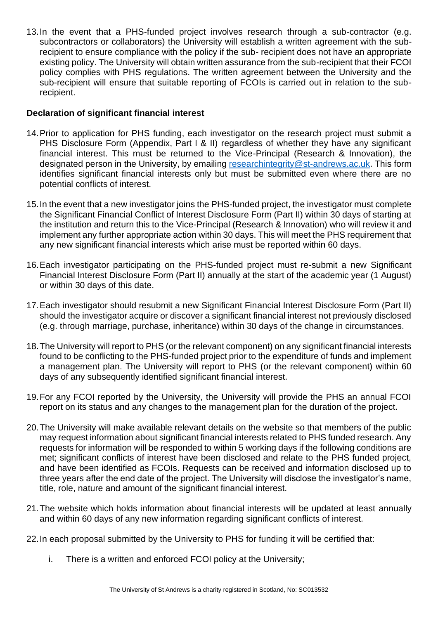13.In the event that a PHS-funded project involves research through a sub-contractor (e.g. subcontractors or collaborators) the University will establish a written agreement with the subrecipient to ensure compliance with the policy if the sub- recipient does not have an appropriate existing policy. The University will obtain written assurance from the sub-recipient that their FCOI policy complies with PHS regulations. The written agreement between the University and the sub-recipient will ensure that suitable reporting of FCOIs is carried out in relation to the subrecipient.

## **Declaration of significant financial interest**

- 14.Prior to application for PHS funding, each investigator on the research project must submit a PHS Disclosure Form (Appendix, Part I & II) regardless of whether they have any significant financial interest. This must be returned to the Vice-Principal (Research & Innovation), the designated person in the University, by emailing [researchintegrity@st-andrews.ac.uk.](mailto:researchintegrity@st-andrews.ac.uk) This form identifies significant financial interests only but must be submitted even where there are no potential conflicts of interest.
- 15.In the event that a new investigator joins the PHS-funded project, the investigator must complete the Significant Financial Conflict of Interest Disclosure Form (Part II) within 30 days of starting at the institution and return this to the Vice-Principal (Research & Innovation) who will review it and implement any further appropriate action within 30 days. This will meet the PHS requirement that any new significant financial interests which arise must be reported within 60 days.
- 16.Each investigator participating on the PHS-funded project must re-submit a new Significant Financial Interest Disclosure Form (Part II) annually at the start of the academic year (1 August) or within 30 days of this date.
- 17.Each investigator should resubmit a new Significant Financial Interest Disclosure Form (Part II) should the investigator acquire or discover a significant financial interest not previously disclosed (e.g. through marriage, purchase, inheritance) within 30 days of the change in circumstances.
- 18.The University will report to PHS (or the relevant component) on any significant financial interests found to be conflicting to the PHS-funded project prior to the expenditure of funds and implement a management plan. The University will report to PHS (or the relevant component) within 60 days of any subsequently identified significant financial interest.
- 19.For any FCOI reported by the University, the University will provide the PHS an annual FCOI report on its status and any changes to the management plan for the duration of the project.
- 20.The University will make available relevant details on the website so that members of the public may request information about significant financial interests related to PHS funded research. Any requests for information will be responded to within 5 working days if the following conditions are met; significant conflicts of interest have been disclosed and relate to the PHS funded project, and have been identified as FCOIs. Requests can be received and information disclosed up to three years after the end date of the project. The University will disclose the investigator's name, title, role, nature and amount of the significant financial interest.
- 21.The website which holds information about financial interests will be updated at least annually and within 60 days of any new information regarding significant conflicts of interest.
- 22.In each proposal submitted by the University to PHS for funding it will be certified that:
	- i. There is a written and enforced FCOI policy at the University;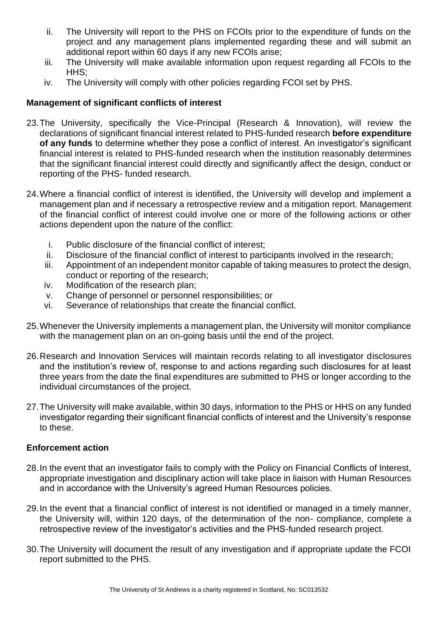- ii. The University will report to the PHS on FCOIs prior to the expenditure of funds on the project and any management plans implemented regarding these and will submit an additional report within 60 days if any new FCOIs arise;
- iii. The University will make available information upon request regarding all FCOIs to the HHS:
- iv. The University will comply with other policies regarding FCOI set by PHS.

## **Management of significant conflicts of interest**

- 23.The University, specifically the Vice-Principal (Research & Innovation), will review the declarations of significant financial interest related to PHS-funded research **before expenditure of any funds** to determine whether they pose a conflict of interest. An investigator's significant financial interest is related to PHS-funded research when the institution reasonably determines that the significant financial interest could directly and significantly affect the design, conduct or reporting of the PHS- funded research.
- 24.Where a financial conflict of interest is identified, the University will develop and implement a management plan and if necessary a retrospective review and a mitigation report. Management of the financial conflict of interest could involve one or more of the following actions or other actions dependent upon the nature of the conflict:
	- i. Public disclosure of the financial conflict of interest;
	- ii. Disclosure of the financial conflict of interest to participants involved in the research;
	- iii. Appointment of an independent monitor capable of taking measures to protect the design, conduct or reporting of the research;
	- iv. Modification of the research plan;
	- v. Change of personnel or personnel responsibilities; or
	- vi. Severance of relationships that create the financial conflict.
- 25.Whenever the University implements a management plan, the University will monitor compliance with the management plan on an on-going basis until the end of the project.
- 26.Research and Innovation Services will maintain records relating to all investigator disclosures and the institution's review of, response to and actions regarding such disclosures for at least three years from the date the final expenditures are submitted to PHS or longer according to the individual circumstances of the project.
- 27.The University will make available, within 30 days, information to the PHS or HHS on any funded investigator regarding their significant financial conflicts of interest and the University's response to these.

#### **Enforcement action**

- 28.In the event that an investigator fails to comply with the Policy on Financial Conflicts of Interest, appropriate investigation and disciplinary action will take place in liaison with Human Resources and in accordance with the University's agreed Human Resources policies.
- 29.In the event that a financial conflict of interest is not identified or managed in a timely manner, the University will, within 120 days, of the determination of the non- compliance, complete a retrospective review of the investigator's activities and the PHS-funded research project.
- 30.The University will document the result of any investigation and if appropriate update the FCOI report submitted to the PHS.